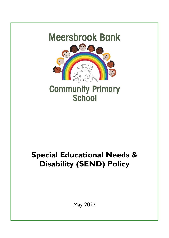

# **Special Educational Needs & Disability (SEND) Policy**

May 2022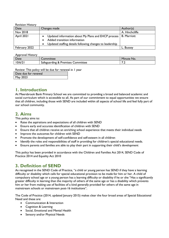Revision History

| Date          | Changes made                                                                                                                                                              | Author(s)          |
|---------------|---------------------------------------------------------------------------------------------------------------------------------------------------------------------------|--------------------|
| Nov 2018      |                                                                                                                                                                           | A. Hinchcliffe     |
| April 2021    | Updated information about My Plans and EHCP process<br>$\bullet$<br>Added transition information<br>Updated staffing details following changes to leadership<br>$\bullet$ | <b>B.</b> Marriott |
| February 2022 |                                                                                                                                                                           | Bussey             |

Approval History

| Date   | Committee                                    | Minute<br>No. |
|--------|----------------------------------------------|---------------|
| 10/6/2 | <b>Sateguarding &amp; Premises Committee</b> | . .           |

Review: This policy will be due for renewal in 1 year

| Date due for renewal |  |
|----------------------|--|
| May 2023             |  |

## **1. Introduction**

At Meersbrook Bank Primary School we are committed to providing a broad and balanced academic and social curriculum which is accessible to all. As part of our commitment to equal opportunities we ensure that all children, including those with SEND are included within all aspects of school life and feel fully part of our school community.

# **2. Aims**

This policy aims to:

- Raise the aspirations and expectations of all children with SEND
- Ensure early and accurate identification of children with SEND
- Ensure that all children receive an enriching school experience that meets their individual needs
- Improve the outcomes for children with SEND
- Promote the development of self-confidence and self-esteem in all children
- Identify the roles and responsibilities of staff in providing for children's special educational needs.
- Ensure parents and families are able to play their part in supporting their child's development

This policy has been provided in accordance with the Children and Families Act 2014, SEND Code of Practice 2014 and Equality Act 2010

## **3. Definition of SEND**

As recognised in the SEND Code of Practice, "a child or young person has SEND if they have a learning difficulty or disability which calls for special educational provision to be made for him or her. A child of compulsory school age or a young person has a learning difficulty or disability if he or she "Has a significantly greater difficulty in learning than the majority of others of the same age or has a disability which prevents him or her from making use of facilities of a kind generally provided for others of the same age in mainstream schools or mainstream post-16 institutions".

The Code of Practice (2014, updated January 2015) makes clear the four broad areas of Special Educational Need and these are:

- Communication & Interaction
- Cognition & Learning
- Social, Emotional and Mental Health
- Sensory and/or Physical Needs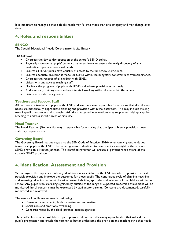It is important to recognise that a child's needs may fall into more than one category and may change over time.

## **4. Roles and responsibilities**

#### **SENCO**

The Special Educational Needs Co-ordinator is Lisa Bussey.

The SENCO:

- Oversees the day to day operation of the school's SEND policy.
- Regularly monitors all pupils' current attainment levels to ensure the early discovery of any unidentified special educational needs.
- Ensures all SEND pupils have equality of access to the full school curriculum.
- Ensures adequate provision is made for SEND within the budgetary constraints of available finance.
- Oversees the records of all children with SEND.
- Liaises with and advises teaching staff.
- Monitors the progress of pupils with SEND and adjusts provision accordingly.
- Addresses any training needs relevant to staff working with children within the school.
- Liaises with external agencies.

#### **Teachers and Support Staff**

All teachers are teachers of pupils with SEND and are therefore responsible for ensuring that all children's needs are met through appropriate planning and provision within the classroom. This may include making use of specific resources and strategies. Additional targeted interventions may supplement high quality first teaching to address specific areas of difficulty.

#### **Head Teacher**

The Head Teacher (Gemma Harvey) is responsible for ensuring that the Special Needs provision meets statutory requirements.

#### **Governing Board**

The Governing Board has due regard to the SEN Code of Practice (2014) when carrying out its duties towards all pupils with SEND. The named governor identified to have specific oversight of the school's SEND provision is Kirsten Johnson. The identified governor will ensure all governors are aware of the school's SEND provision.

## **4. Identification, Assessment and Provision**

We recognise the importance of early identification for children with SEND in order to provide the best possible provision and improve the outcomes for those pupils. The continuous cycle of planning, teaching and assessing takes into account the wide range of abilities, aptitudes and interests of the children within our school. Any pupils who are falling significantly outside of the range of expected academic achievement will be monitored. Initial concerns may be expressed by staff and/or parents. Concerns are documented, carefully monitored and reviewed.

The needs of pupils are assessed considering:

- Classroom assessments, both formative and summative
- Social skills and emotional wellbeing
- Concerns raised by the child, parents, outside agencies

The child's class teacher will take steps to provide differentiated learning opportunities that will aid the pupil's progression and enable the teacher to better understand the provision and teaching style that needs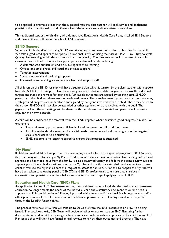to be applied. If progress is less than the expected rate the class teacher will seek advice and implement provision that is additional to and different from the school's usual differentiated curriculum.

This additional support for children, who do not have Educational Health Care Plans, is called SEN Support and these children will be on the school SEND register.

#### **SEND Support**

When a child is identified as having SEND we take action to remove the barriers to learning for that child. We take a graduated approach to Special Educational Provision using the Assess – Plan – Do – Review cycle. Quality first teaching within the classroom is a main priority. The class teacher will make use of available classroom and school resources to support pupils' individual needs, including:

- A differentiated curriculum and a flexible approach to learning.
- One to one small group, individual and in class support.
- Targeted interventions
- Social, emotional and wellbeing support
- Information and training for subject teachers and support staff.

All children on the SEND register will have a support plan which is written by the class teacher with support from the SENCO. The support plan is a working document that is updated regularly to show the individual targets and steps of progress for each child. Achievable outcomes are agreed by teaching staff, SENCO, parents and the child and these are then reviewed termly. These review meetings ensure that the outcomes, strategies and progress are understood and agreed by everyone involved with the child. These may be led by the school SENCO and may also be attended by other agencies who are involved with the pupil. The paperwork from these meetings will be shared with the relevant teaching staff and parents will receive a copy for their own records.

A child will be considered for removal from the SEND register where sustained good progress is made. For example if:

- The attainment gap has been sufficiently closed between the child and their peers.
- A child's wider development and/or social needs have improved and the progress in the targeted area is considered to be sustained.
- SEND support is no longer required to ensure that progress is sustained.

#### **'My Plans'**

If children need additional support and are continuing to make less than expected progress at SEN Support, they then may move to having a My Plan. This document includes more information from a range of external agencies and has more input from the family. It is also reviewed termly and follows the same review cycle as support plans. Some children will remain on the My Plan and use this as a stand-alone document and some children will use the My Plan as part of a request to assess for an EHCP. For this to happen the My Plan will have been taken to a locality panel of SENCOs and SEND professionals to ensure that all relevant information and provision is in place before moving to the next step of applying for an EHCP.

#### **Education and Health Care (EHC) Plans**

An application for an EHC Plan assessment may be considered when all stakeholders feel that a mainstream education no longer meets the needs of the individual child and a statutory document to outline need is appropriate. This would be done following input and advice from the Educational Psychology service and/or other professionals. For children who require additional provision, extra funding may also be requested through the Locality funding panel.

The process for a new EHC Plan will take up to 20 weeks from the initial request to an EHC Plan being issued. The Local Authority SEN Team will decide whether or not to issue an EHC Plan using further documentation and input from a range of health and care professionals as appropriate. If a child has an EHC Plan issued they will then have formal annual reviews to review their outcomes and progress. The class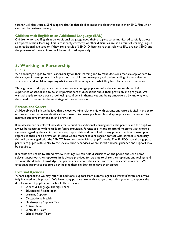teacher will also write a SEN support plan for that child to meet the objectives set in their EHC Plan which can then be reviewed termly.

#### **Children with English as an Additional Language (EAL)**

Children who have English as an Additional Language need their progress to be monitored carefully across all aspects of their learning. This is to identify correctly whether difficulties are as a result of learning English as an additional language or if they are a result of SEND. Difficulties related solely to EAL are not SEND and the progress of these children will be monitored separately.

## **5. Working in Partnership**

#### **Pupils**

We encourage pupils to take responsibility for their learning and to make decisions that are appropriate to their stage of development. It is important that children develop a good understanding of themselves and what they need whilst recognising what makes them unique and what they have to be very proud about.

Through open and supportive discussions, we encourage pupils to voice their opinions about their experience of school and to be an important part of discussions about their provision and progress. We want all pupils to leave our school feeling confident in themselves and being empowered by knowing what they need to succeed in the next stage of their education.

#### **Parents and Carers**

At Meersbrook Bank we believe that a close working relationship with parents and carers is vital in order to ensure early and accurate identification of needs, to develop achievable and appropriate outcomes and to maintain effective intervention and provision.

If an assessment or referral indicates that a pupil has additional learning needs, the parents and the pupil will always be consulted with regards to future provision. Parents are invited to attend meetings with external agencies regarding their child, and are kept up to date and consulted on any points of action drawn up in regards to their child's provision. In cases where more frequent regular contact with parents is necessary, this will be arranged with the SENCO based on the individual pupil's needs. The SENCO may also signpost parents of pupils with SEND to the local authority services where specific advice, guidance and support may be required.

If parents are unable to attend review meetings we can hold discussions on the phone and send home relevant paperwork. An opportunity is always provided for parents to share their opinions and feelings and we value the detailed knowledge that parents have about their child and what their child may need. We encourage parents to support us by helping their children to achieve their targets.

#### **External Agencies**

Where appropriate we may refer for additional support from external agencies. Parents/carers are always fully involved in this process. We have many positive links with a range of outside agencies to support the development of pupils in our school. These include:

- Speech & Language Therapy Team
- Educational Psychologist
- Learning Support
- Occupational Health
- Multi-Agency Support Team
- Autism Team
- SEND 0-5 Team
- School Health Team